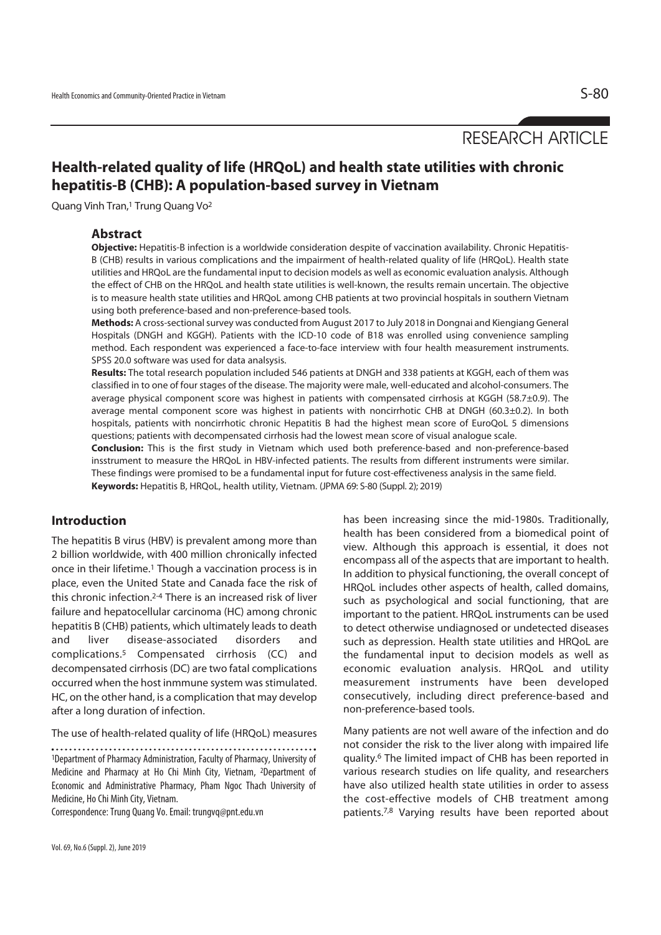# RESEARCH ARTICLE

## **Health-related quality of life (HRQoL) and health state utilities with chronic hepatitis-B (CHB): A population-based survey in Vietnam**

Quang Vinh Tran,1 Trung Quang Vo2

### **Abstract**

**Objective:** Hepatitis-B infection is a worldwide consideration despite of vaccination availability. Chronic Hepatitis-B (CHB) results in various complications and the impairment of health-related quality of life (HRQoL). Health state utilities and HRQoL are the fundamental input to decision models as well as economic evaluation analysis. Although the effect of CHB on the HRQoL and health state utilities is well-known, the results remain uncertain. The objective is to measure health state utilities and HRQoL among CHB patients at two provincial hospitals in southern Vietnam using both preference-based and non-preference-based tools.

**Methods:** A cross-sectional survey was conducted from August 2017 to July 2018 in Dongnai and Kiengiang General Hospitals (DNGH and KGGH). Patients with the ICD-10 code of B18 was enrolled using convenience sampling method. Each respondent was experienced a face-to-face interview with four health measurement instruments. SPSS 20.0 software was used for data analsysis.

**Results:** The total research population included 546 patients at DNGH and 338 patients at KGGH, each of them was classified in to one of four stages of the disease. The majority were male, well-educated and alcohol-consumers. The average physical component score was highest in patients with compensated cirrhosis at KGGH (58.7±0.9). The average mental component score was highest in patients with noncirrhotic CHB at DNGH (60.3±0.2). In both hospitals, patients with noncirrhotic chronic Hepatitis B had the highest mean score of EuroQoL 5 dimensions questions; patients with decompensated cirrhosis had the lowest mean score of visual analogue scale.

**Conclusion:** This is the first study in Vietnam which used both preference-based and non-preference-based insstrument to measure the HRQoL in HBV-infected patients. The results from different instruments were similar. These findings were promised to be a fundamental input for future cost-effectiveness analysis in the same field. **Keywords:** Hepatitis B, HRQoL, health utility, Vietnam. (JPMA 69: S-80 (Suppl. 2); 2019)

## **Introduction**

The hepatitis B virus (HBV) is prevalent among more than 2 billion worldwide, with 400 million chronically infected once in their lifetime.1 Though a vaccination process is in place, even the United State and Canada face the risk of this chronic infection.2-4 There is an increased risk of liver failure and hepatocellular carcinoma (HC) among chronic hepatitis B (CHB) patients, which ultimately leads to death and liver disease-associated disorders and complications.5 Compensated cirrhosis (CC) and decompensated cirrhosis (DC) are two fatal complications occurred when the host inmmune system was stimulated. HC, on the other hand, is a complication that may develop after a long duration of infection.

The use of health-related quality of life (HRQoL) measures

1Department of Pharmacy Administration, Faculty of Pharmacy, University of Medicine and Pharmacy at Ho Chi Minh City, Vietnam, 2Department of Economic and Administrative Pharmacy, Pham Ngoc Thach University of Medicine, Ho Chi Minh City, Vietnam.

Correspondence: Trung Quang Vo. Email: trungvq@pnt.edu.vn

has been increasing since the mid-1980s. Traditionally, health has been considered from a biomedical point of view. Although this approach is essential, it does not encompass all of the aspects that are important to health. In addition to physical functioning, the overall concept of HRQoL includes other aspects of health, called domains, such as psychological and social functioning, that are important to the patient. HRQoL instruments can be used to detect otherwise undiagnosed or undetected diseases such as depression. Health state utilities and HRQoL are the fundamental input to decision models as well as economic evaluation analysis. HRQoL and utility measurement instruments have been developed consecutively, including direct preference-based and non-preference-based tools.

Many patients are not well aware of the infection and do not consider the risk to the liver along with impaired life quality.6 The limited impact of CHB has been reported in various research studies on life quality, and researchers have also utilized health state utilities in order to assess the cost-effective models of CHB treatment among patients.7,8 Varying results have been reported about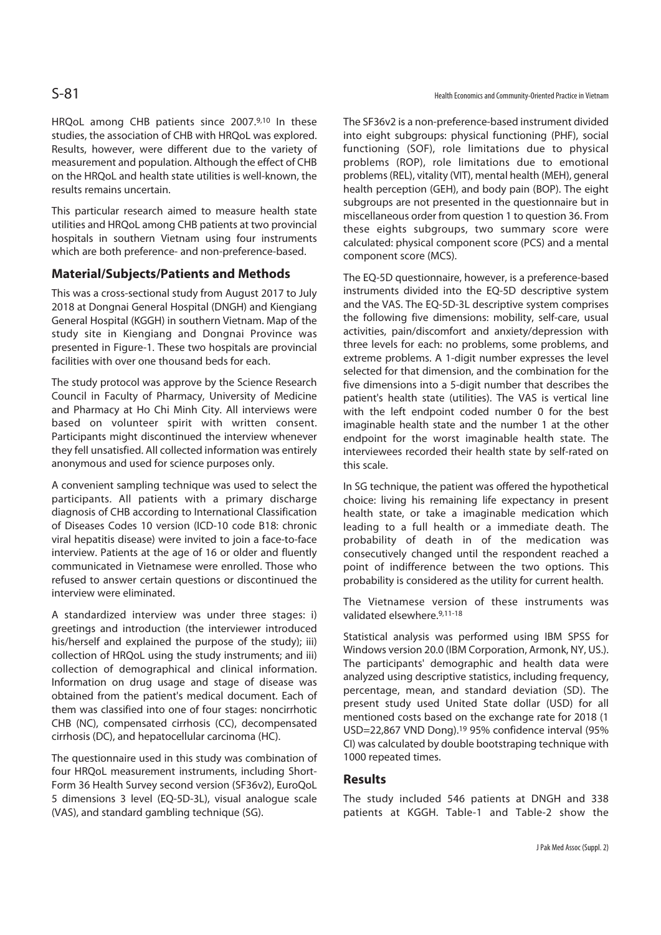HRQoL among CHB patients since 2007.9,10 In these studies, the association of CHB with HRQoL was explored. Results, however, were different due to the variety of measurement and population. Although the effect of CHB on the HRQoL and health state utilities is well-known, the results remains uncertain.

This particular research aimed to measure health state utilities and HRQoL among CHB patients at two provincial hospitals in southern Vietnam using four instruments which are both preference- and non-preference-based.

## **Material/Subjects/Patients and Methods**

This was a cross-sectional study from August 2017 to July 2018 at Dongnai General Hospital (DNGH) and Kiengiang General Hospital (KGGH) in southern Vietnam. Map of the study site in Kiengiang and Dongnai Province was presented in Figure-1. These two hospitals are provincial facilities with over one thousand beds for each.

The study protocol was approve by the Science Research Council in Faculty of Pharmacy, University of Medicine and Pharmacy at Ho Chi Minh City. All interviews were based on volunteer spirit with written consent. Participants might discontinued the interview whenever they fell unsatisfied. All collected information was entirely anonymous and used for science purposes only.

A convenient sampling technique was used to select the participants. All patients with a primary discharge diagnosis of CHB according to International Classification of Diseases Codes 10 version (ICD-10 code B18: chronic viral hepatitis disease) were invited to join a face-to-face interview. Patients at the age of 16 or older and fluently communicated in Vietnamese were enrolled. Those who refused to answer certain questions or discontinued the interview were eliminated.

A standardized interview was under three stages: i) greetings and introduction (the interviewer introduced his/herself and explained the purpose of the study); iii) collection of HRQoL using the study instruments; and iii) collection of demographical and clinical information. Information on drug usage and stage of disease was obtained from the patient's medical document. Each of them was classified into one of four stages: noncirrhotic CHB (NC), compensated cirrhosis (CC), decompensated cirrhosis (DC), and hepatocellular carcinoma (HC).

The questionnaire used in this study was combination of four HRQoL measurement instruments, including Short-Form 36 Health Survey second version (SF36v2), EuroQoL 5 dimensions 3 level (EQ-5D-3L), visual analogue scale (VAS), and standard gambling technique (SG).

The SF36v2 is a non-preference-based instrument divided into eight subgroups: physical functioning (PHF), social functioning (SOF), role limitations due to physical problems (ROP), role limitations due to emotional problems (REL), vitality (VIT), mental health (MEH), general health perception (GEH), and body pain (BOP). The eight subgroups are not presented in the questionnaire but in miscellaneous order from question 1 to question 36. From these eights subgroups, two summary score were calculated: physical component score (PCS) and a mental component score (MCS).

The EQ-5D questionnaire, however, is a preference-based instruments divided into the EQ-5D descriptive system and the VAS. The EQ-5D-3L descriptive system comprises the following five dimensions: mobility, self-care, usual activities, pain/discomfort and anxiety/depression with three levels for each: no problems, some problems, and extreme problems. A 1-digit number expresses the level selected for that dimension, and the combination for the five dimensions into a 5-digit number that describes the patient's health state (utilities). The VAS is vertical line with the left endpoint coded number 0 for the best imaginable health state and the number 1 at the other endpoint for the worst imaginable health state. The interviewees recorded their health state by self-rated on this scale.

In SG technique, the patient was offered the hypothetical choice: living his remaining life expectancy in present health state, or take a imaginable medication which leading to a full health or a immediate death. The probability of death in of the medication was consecutively changed until the respondent reached a point of indifference between the two options. This probability is considered as the utility for current health.

The Vietnamese version of these instruments was validated elsewhere.9,11-18

Statistical analysis was performed using IBM SPSS for Windows version 20.0 (IBM Corporation, Armonk, NY, US.). The participants' demographic and health data were analyzed using descriptive statistics, including frequency, percentage, mean, and standard deviation (SD). The present study used United State dollar (USD) for all mentioned costs based on the exchange rate for 2018 (1 USD=22,867 VND Dong).19 95% confidence interval (95% CI) was calculated by double bootstraping technique with 1000 repeated times.

#### **Results**

The study included 546 patients at DNGH and 338 patients at KGGH. Table-1 and Table-2 show the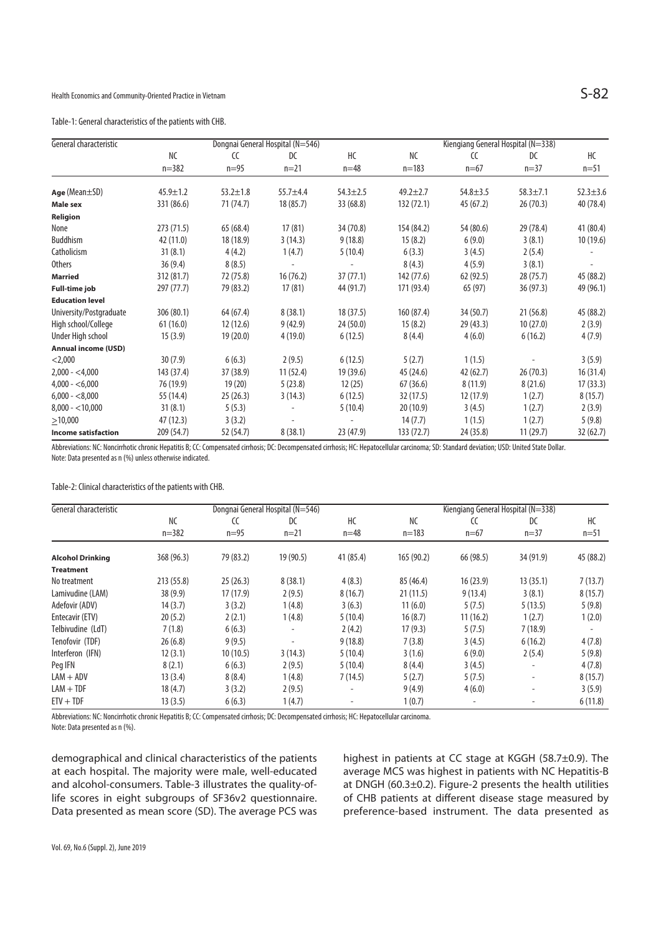Table-1: General characteristics of the patients with CHB.

| General characteristic     | Dongnai General Hospital (N=546) |                |              |                | Kiengiang General Hospital (N=338) |                |                |              |
|----------------------------|----------------------------------|----------------|--------------|----------------|------------------------------------|----------------|----------------|--------------|
|                            | NC                               | $\epsilon$     | DC           | HC             | <b>NC</b>                          | CC             | DC             | НC           |
|                            | $n = 382$                        | $n=95$         | $n = 21$     | $n=48$         | $n = 183$                          | $n=67$         | $n=37$         | $n = 51$     |
| $Age(Mean \pm SD)$         | $45.9 \pm 1.2$                   | $53.2 \pm 1.8$ | $55.7 + 4.4$ | $54.3 \pm 2.5$ | $49.2 \pm 2.7$                     | $54.8 \pm 3.5$ | $58.3 \pm 7.1$ | $52.3 + 3.6$ |
| <b>Male sex</b>            | 331 (86.6)                       | 71 (74.7)      | 18 (85.7)    | 33 (68.8)      | 132 (72.1)                         | 45 (67.2)      | 26(70.3)       | 40 (78.4)    |
| Religion                   |                                  |                |              |                |                                    |                |                |              |
| None                       | 273 (71.5)                       | 65(68.4)       | 17(81)       | 34 (70.8)      | 154 (84.2)                         | 54 (80.6)      | 29 (78.4)      | 41 (80.4)    |
| Buddhism                   | 42 (11.0)                        | 18 (18.9)      | 3(14.3)      | 9(18.8)        | 15(8.2)                            | 6(9.0)         | 3(8.1)         | 10 (19.6)    |
| Catholicism                | 31(8.1)                          | 4(4.2)         | 1(4.7)       | 5(10.4)        | 6(3.3)                             | 3(4.5)         | 2(5.4)         |              |
| <b>Others</b>              | 36(9.4)                          | 8(8.5)         |              |                | 8(4.3)                             | 4(5.9)         | 3(8.1)         |              |
| <b>Married</b>             | 312 (81.7)                       | 72 (75.8)      | 16(76.2)     | 37(77.1)       | 142 (77.6)                         | 62 (92.5)      | 28(75.7)       | 45 (88.2)    |
| <b>Full-time job</b>       | 297(77.7)                        | 79 (83.2)      | 17(81)       | 44 (91.7)      | 171 (93.4)                         | 65 (97)        | 36(97.3)       | 49 (96.1)    |
| <b>Education level</b>     |                                  |                |              |                |                                    |                |                |              |
| University/Postgraduate    | 306 (80.1)                       | 64 (67.4)      | 8(38.1)      | 18(37.5)       | 160 (87.4)                         | 34 (50.7)      | 21(56.8)       | 45 (88.2)    |
| High school/College        | 61(16.0)                         | 12(12.6)       | 9(42.9)      | 24(50.0)       | 15(8.2)                            | 29 (43.3)      | 10(27.0)       | 2(3.9)       |
| Under High school          | 15(3.9)                          | 19(20.0)       | 4(19.0)      | 6(12.5)        | 8(4.4)                             | 4(6.0)         | 6(16.2)        | 4(7.9)       |
| <b>Annual income (USD)</b> |                                  |                |              |                |                                    |                |                |              |
| $<$ 2,000                  | 30(7.9)                          | 6(6.3)         | 2(9.5)       | 6(12.5)        | 5(2.7)                             | 1(1.5)         |                | 3(5.9)       |
| $2,000 - 4,000$            | 143 (37.4)                       | 37(38.9)       | 11 (52.4)    | 19 (39.6)      | 45 (24.6)                          | 42 (62.7)      | 26(70.3)       | 16 (31.4)    |
| $4,000 - 6,000$            | 76 (19.9)                        | 19(20)         | 5(23.8)      | 12(25)         | 67(36.6)                           | 8(11.9)        | 8(21.6)        | 17(33.3)     |
| $6,000 - 8,000$            | 55 (14.4)                        | 25(26.3)       | 3(14.3)      | 6(12.5)        | 32(17.5)                           | 12 (17.9)      | 1(2.7)         | 8(15.7)      |
| $8,000 - 10,000$           | 31(8.1)                          | 5(5.3)         |              | 5(10.4)        | 20(10.9)                           | 3(4.5)         | 1(2.7)         | 2(3.9)       |
| >10,000                    | 47(12.3)                         | 3(3.2)         |              |                | 14(7.7)                            | 1(1.5)         | 1(2.7)         | 5(9.8)       |
| <b>Income satisfaction</b> | 209 (54.7)                       | 52 (54.7)      | 8(38.1)      | 23 (47.9)      | 133 (72.7)                         | 24 (35.8)      | 11(29.7)       | 32(62.7)     |

Abbreviations: NC: Noncirrhotic chronic Hepatitis B; CC: Compensated cirrhosis; DC: Decompensated cirrhosis; HC: Hepatocellular carcinoma; SD: Standard deviation; USD: United State Dollar. Note: Data presented as n (%) unless otherwise indicated.

Table-2: Clinical characteristics of the patients with CHB.

| General characteristic |                 |              | Dongnai General Hospital (N=546) | Kiengiang General Hospital (N=338) |                        |              |              |                |
|------------------------|-----------------|--------------|----------------------------------|------------------------------------|------------------------|--------------|--------------|----------------|
|                        | NC<br>$n = 382$ | CC<br>$n=95$ | DC<br>$n=21$                     | HC<br>$n=48$                       | <b>NC</b><br>$n = 183$ | CC<br>$n=67$ | DC<br>$n=37$ | НC<br>$n = 51$ |
|                        |                 |              |                                  |                                    |                        |              |              |                |
| <b>Treatment</b>       |                 |              |                                  |                                    |                        |              |              |                |
| No treatment           | 213 (55.8)      | 25(26.3)     | 8(38.1)                          | 4(8.3)                             | 85 (46.4)              | 16(23.9)     | 13(35.1)     | 7(13.7)        |
| Lamivudine (LAM)       | 38(9.9)         | 17(17.9)     | 2(9.5)                           | 8(16.7)                            | 21(11.5)               | 9(13.4)      | 3(8.1)       | 8(15.7)        |
| Adefovir (ADV)         | 14(3.7)         | 3(3.2)       | 1(4.8)                           | 3(6.3)                             | 11(6.0)                | 5(7.5)       | 5(13.5)      | 5(9.8)         |
| Entecavir (ETV)        | 20(5.2)         | 2(2.1)       | 1(4.8)                           | 5(10.4)                            | 16(8.7)                | 11(16.2)     | 1(2.7)       | 1(2.0)         |
| Telbivudine (LdT)      | 7(1.8)          | 6(6.3)       | $\qquad \qquad \blacksquare$     | 2(4.2)                             | 17(9.3)                | 5(7.5)       | 7(18.9)      |                |
| Tenofovir (TDF)        | 26(6.8)         | 9(9.5)       | $\overline{\phantom{a}}$         | 9(18.8)                            | 7(3.8)                 | 3(4.5)       | 6(16.2)      | 4(7.8)         |
| Interferon (IFN)       | 12(3.1)         | 10(10.5)     | 3(14.3)                          | 5(10.4)                            | 3(1.6)                 | 6(9.0)       | 2(5.4)       | 5(9.8)         |
| Peg IFN                | 8(2.1)          | 6(6.3)       | 2(9.5)                           | 5(10.4)                            | 8(4.4)                 | 3(4.5)       |              | 4(7.8)         |
| $LAM + ADV$            | 13(3.4)         | 8(8.4)       | 1(4.8)                           | 7(14.5)                            | 5(2.7)                 | 5(7.5)       |              | 8(15.7)        |
| $LAM + TDF$            | 18(4.7)         | 3(3.2)       | 2(9.5)                           | $\overline{\phantom{a}}$           | 9(4.9)                 | 4(6.0)       |              | 3(5.9)         |
| $ETV + TDF$            | 13(3.5)         | 6(6.3)       | 1(4.7)                           |                                    | 1(0.7)                 |              |              | 6(11.8)        |

Abbreviations: NC: Noncirrhotic chronic Hepatitis B; CC: Compensated cirrhosis; DC: Decompensated cirrhosis; HC: Hepatocellular carcinoma.

Note: Data presented as n (%).

demographical and clinical characteristics of the patients at each hospital. The majority were male, well-educated and alcohol-consumers. Table-3 illustrates the quality-oflife scores in eight subgroups of SF36v2 questionnaire. Data presented as mean score (SD). The average PCS was highest in patients at CC stage at KGGH (58.7±0.9). The average MCS was highest in patients with NC Hepatitis-B at DNGH (60.3±0.2). Figure-2 presents the health utilities of CHB patients at different disease stage measured by preference-based instrument. The data presented as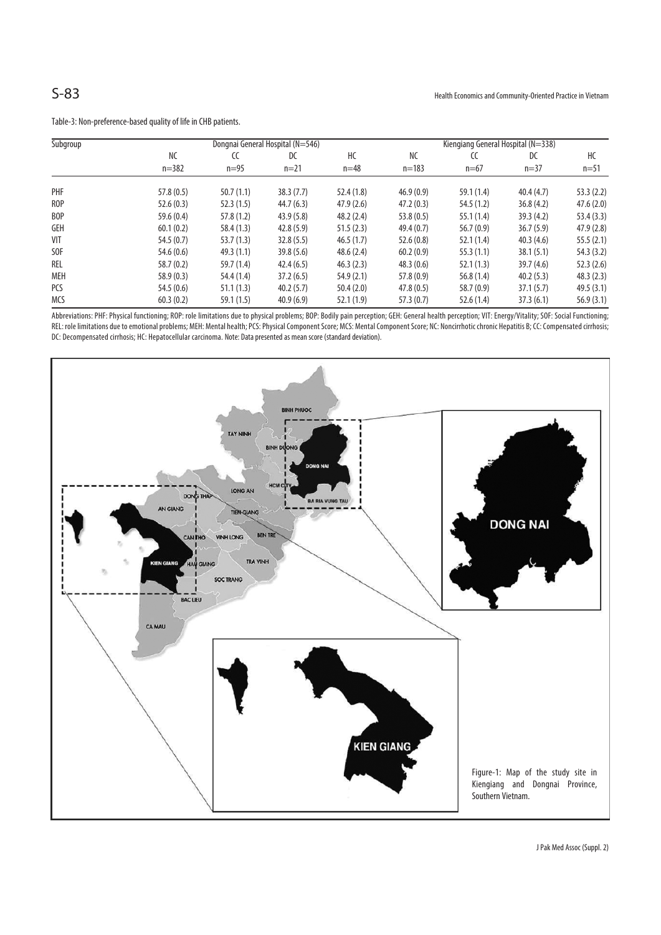| Subgroup   |                        | Kiengiang General Hospital (N=338) |                |              |                 |              |                |                |
|------------|------------------------|------------------------------------|----------------|--------------|-----------------|--------------|----------------|----------------|
|            | <b>NC</b><br>$n = 382$ | CC<br>$n=95$                       | DC<br>$n = 21$ | НC<br>$n=48$ | NC<br>$n = 183$ | CC<br>$n=67$ | DC<br>$n = 37$ | НC<br>$n = 51$ |
|            |                        |                                    |                |              |                 |              |                |                |
| ROP        | 52.6(0.3)              | 52.3(1.5)                          | 44.7(6.3)      | 47.9(2.6)    | 47.2(0.3)       | 54.5 (1.2)   | 36.8(4.2)      | 47.6(2.0)      |
| BOP        | 59.6(0.4)              | 57.8(1.2)                          | 43.9(5.8)      | 48.2(2.4)    | 53.8(0.5)       | 55.1(1.4)    | 39.3(4.2)      | 53.4(3.3)      |
| <b>GEH</b> | 60.1(0.2)              | 58.4(1.3)                          | 42.8(5.9)      | 51.5(2.3)    | 49.4(0.7)       | 56.7(0.9)    | 36.7(5.9)      | 47.9(2.8)      |
| VIT        | 54.5(0.7)              | 53.7(1.3)                          | 32.8(5.5)      | 46.5(1.7)    | 52.6(0.8)       | 52.1(1.4)    | 40.3(4.6)      | 55.5(2.1)      |
| SOF        | 54.6 (0.6)             | 49.3(1.1)                          | 39.8(5.6)      | 48.6(2.4)    | 60.2(0.9)       | 55.3(1.1)    | 38.1(5.1)      | 54.3(3.2)      |
| REL        | 58.7(0.2)              | 59.7(1.4)                          | 42.4(6.5)      | 46.3(2.3)    | 48.3(0.6)       | 52.1(1.3)    | 39.7(4.6)      | 52.3(2.6)      |
| MEH        | 58.9(0.3)              | 54.4 (1.4)                         | 37.2(6.5)      | 54.9(2.1)    | 57.8(0.9)       | 56.8(1.4)    | 40.2(5.3)      | 48.3(2.3)      |
| PCS        | 54.5(0.6)              | 51.1(1.3)                          | 40.2(5.7)      | 50.4(2.0)    | 47.8(0.5)       | 58.7 (0.9)   | 37.1(5.7)      | 49.5(3.1)      |
| MCS        | 60.3(0.2)              | 59.1(1.5)                          | 40.9(6.9)      | 52.1(1.9)    | 57.3(0.7)       | 52.6(1.4)    | 37.3(6.1)      | 56.9(3.1)      |

Table-3: Non-preference-based quality of life in CHB patients.

Abbreviations: PHF: Physical functioning; ROP: role limitations due to physical problems; BOP: Bodily pain perception; GEH: General health perception; VIT: Energy/Vitality; SOF: Social Functioning; REL: role limitations due to emotional problems; MEH: Mental health; PCS: Physical Component Score; MCS: Mental Component Score; NC: Noncirrhotic chronic Hepatitis B; CC: Compensated cirrhosis; DC: Decompensated cirrhosis; HC: Hepatocellular carcinoma. Note: Data presented as mean score (standard deviation).

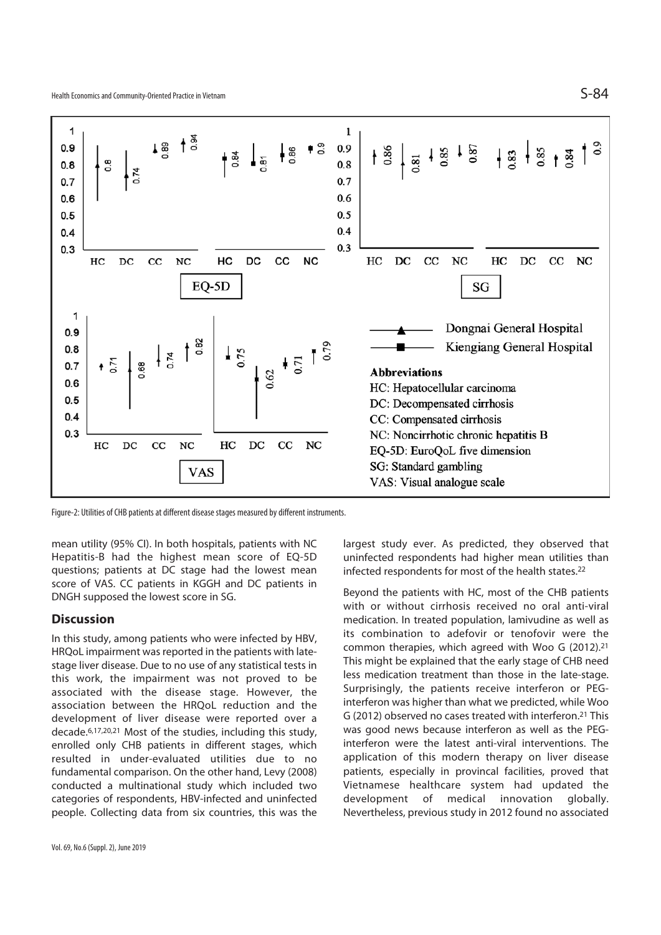

Figure-2: Utilities of CHB patients at different disease stages measured by different instruments.

mean utility (95% CI). In both hospitals, patients with NC Hepatitis-B had the highest mean score of EQ-5D questions; patients at DC stage had the lowest mean score of VAS. CC patients in KGGH and DC patients in DNGH supposed the lowest score in SG.

## **Discussion**

In this study, among patients who were infected by HBV, HRQoL impairment was reported in the patients with latestage liver disease. Due to no use of any statistical tests in this work, the impairment was not proved to be associated with the disease stage. However, the association between the HRQoL reduction and the development of liver disease were reported over a decade.6,17,20,21 Most of the studies, including this study, enrolled only CHB patients in different stages, which resulted in under-evaluated utilities due to no fundamental comparison. On the other hand, Levy (2008) conducted a multinational study which included two categories of respondents, HBV-infected and uninfected people. Collecting data from six countries, this was the

largest study ever. As predicted, they observed that uninfected respondents had higher mean utilities than infected respondents for most of the health states.22

Beyond the patients with HC, most of the CHB patients with or without cirrhosis received no oral anti-viral medication. In treated population, lamivudine as well as its combination to adefovir or tenofovir were the common therapies, which agreed with Woo G (2012).21 This might be explained that the early stage of CHB need less medication treatment than those in the late-stage. Surprisingly, the patients receive interferon or PEGinterferon was higher than what we predicted, while Woo G (2012) observed no cases treated with interferon.21 This was good news because interferon as well as the PEGinterferon were the latest anti-viral interventions. The application of this modern therapy on liver disease patients, especially in provincal facilities, proved that Vietnamese healthcare system had updated the development of medical innovation globally. Nevertheless, previous study in 2012 found no associated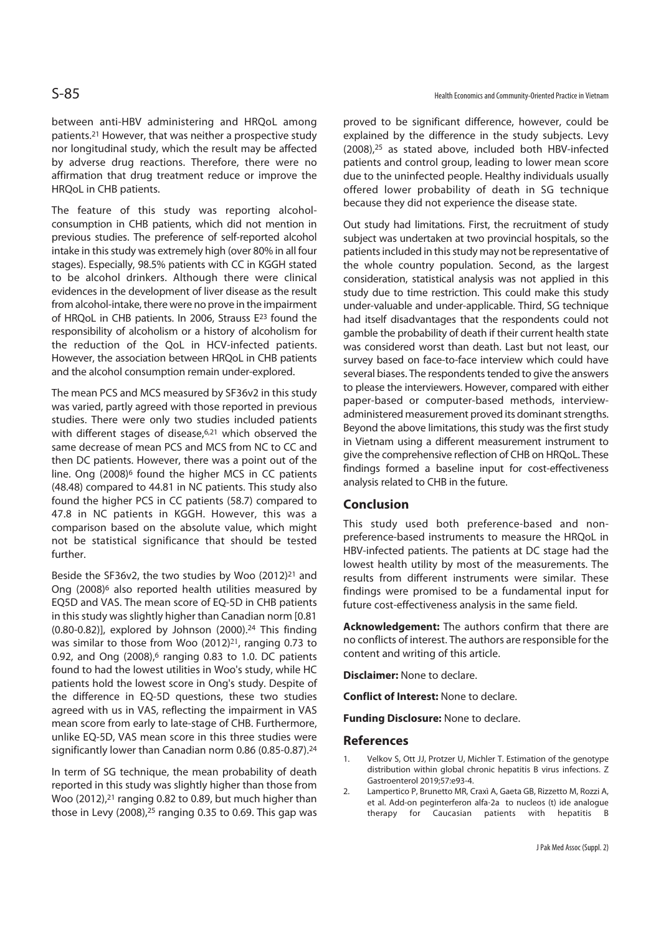between anti-HBV administering and HRQoL among patients.21 However, that was neither a prospective study nor longitudinal study, which the result may be affected by adverse drug reactions. Therefore, there were no affirmation that drug treatment reduce or improve the HRQoL in CHB patients.

The feature of this study was reporting alcoholconsumption in CHB patients, which did not mention in previous studies. The preference of self-reported alcohol intake in this study was extremely high (over 80% in all four stages). Especially, 98.5% patients with CC in KGGH stated to be alcohol drinkers. Although there were clinical evidences in the development of liver disease as the result from alcohol-intake, there were no prove in the impairment of HRQoL in CHB patients. In 2006, Strauss E23 found the responsibility of alcoholism or a history of alcoholism for the reduction of the QoL in HCV-infected patients. However, the association between HRQoL in CHB patients and the alcohol consumption remain under-explored.

The mean PCS and MCS measured by SF36v2 in this study was varied, partly agreed with those reported in previous studies. There were only two studies included patients with different stages of disease.<sup>6,21</sup> which observed the same decrease of mean PCS and MCS from NC to CC and then DC patients. However, there was a point out of the line. Ong (2008)<sup>6</sup> found the higher MCS in CC patients (48.48) compared to 44.81 in NC patients. This study also found the higher PCS in CC patients (58.7) compared to 47.8 in NC patients in KGGH. However, this was a comparison based on the absolute value, which might not be statistical significance that should be tested further.

Beside the SF36v2, the two studies by Woo (2012)<sup>21</sup> and Ong (2008)<sup>6</sup> also reported health utilities measured by EQ5D and VAS. The mean score of EQ-5D in CHB patients in this study was slightly higher than Canadian norm [0.81  $(0.80-0.82)$ ], explored by Johnson  $(2000).<sup>24</sup>$  This finding was similar to those from Woo  $(2012)^{21}$ , ranging 0.73 to 0.92, and Ong (2008),<sup>6</sup> ranging 0.83 to 1.0. DC patients found to had the lowest utilities in Woo's study, while HC patients hold the lowest score in Ong's study. Despite of the difference in EQ-5D questions, these two studies agreed with us in VAS, reflecting the impairment in VAS mean score from early to late-stage of CHB. Furthermore, unlike EQ-5D, VAS mean score in this three studies were significantly lower than Canadian norm 0.86 (0.85-0.87).24

In term of SG technique, the mean probability of death reported in this study was slightly higher than those from Woo (2012),<sup>21</sup> ranging 0.82 to 0.89, but much higher than those in Levy (2008),<sup>25</sup> ranging 0.35 to 0.69. This gap was

proved to be significant difference, however, could be explained by the difference in the study subjects. Levy (2008),25 as stated above, included both HBV-infected patients and control group, leading to lower mean score due to the uninfected people. Healthy individuals usually offered lower probability of death in SG technique because they did not experience the disease state.

Out study had limitations. First, the recruitment of study subject was undertaken at two provincial hospitals, so the patients included in this study may not be representative of the whole country population. Second, as the largest consideration, statistical analysis was not applied in this study due to time restriction. This could make this study under-valuable and under-applicable. Third, SG technique had itself disadvantages that the respondents could not gamble the probability of death if their current health state was considered worst than death. Last but not least, our survey based on face-to-face interview which could have several biases. The respondents tended to give the answers to please the interviewers. However, compared with either paper-based or computer-based methods, interviewadministered measurement proved its dominant strengths. Beyond the above limitations, this study was the first study in Vietnam using a different measurement instrument to give the comprehensive reflection of CHB on HRQoL. These findings formed a baseline input for cost-effectiveness analysis related to CHB in the future.

### **Conclusion**

This study used both preference-based and nonpreference-based instruments to measure the HRQoL in HBV-infected patients. The patients at DC stage had the lowest health utility by most of the measurements. The results from different instruments were similar. These findings were promised to be a fundamental input for future cost-effectiveness analysis in the same field.

**Acknowledgement:** The authors confirm that there are no conflicts of interest. The authors are responsible for the content and writing of this article.

**Disclaimer:** None to declare.

**Conflict of Interest:** None to declare.

**Funding Disclosure:** None to declare.

#### **References**

- 1. Velkov S, Ott JJ, Protzer U, Michler T. Estimation of the genotype distribution within global chronic hepatitis B virus infections. Z Gastroenterol 2019;57:e93-4.
- 2. Lampertico P, Brunetto MR, Craxì A, Gaeta GB, Rizzetto M, Rozzi A, et al. Add-on peginterferon alfa-2a to nucleos (t) ide analogue therapy for Caucasian patients with hepatitis B